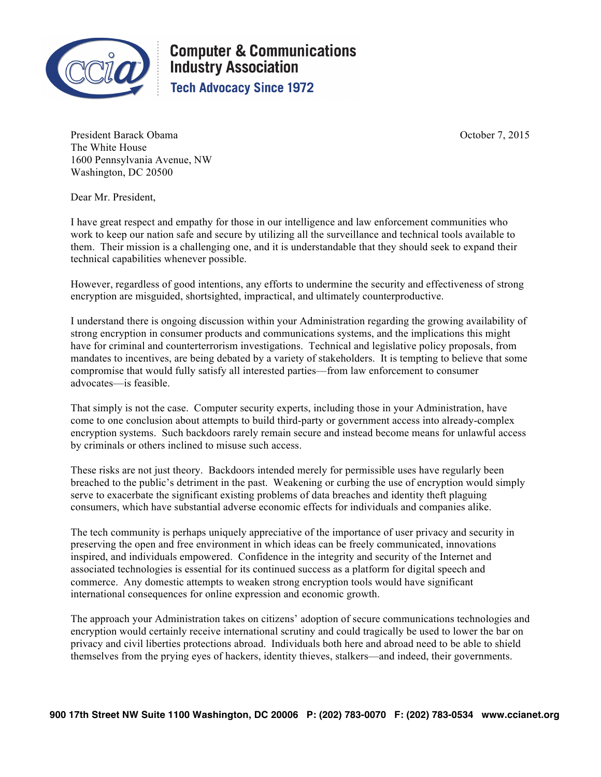

## **Computer & Communications Industry Association Tech Advocacy Since 1972**

President Barack Obama October 7, 2015 The White House 1600 Pennsylvania Avenue, NW Washington, DC 20500

Dear Mr. President,

I have great respect and empathy for those in our intelligence and law enforcement communities who work to keep our nation safe and secure by utilizing all the surveillance and technical tools available to them. Their mission is a challenging one, and it is understandable that they should seek to expand their technical capabilities whenever possible.

However, regardless of good intentions, any efforts to undermine the security and effectiveness of strong encryption are misguided, shortsighted, impractical, and ultimately counterproductive.

I understand there is ongoing discussion within your Administration regarding the growing availability of strong encryption in consumer products and communications systems, and the implications this might have for criminal and counterterrorism investigations. Technical and legislative policy proposals, from mandates to incentives, are being debated by a variety of stakeholders. It is tempting to believe that some compromise that would fully satisfy all interested parties—from law enforcement to consumer advocates—is feasible.

That simply is not the case. Computer security experts, including those in your Administration, have come to one conclusion about attempts to build third-party or government access into already-complex encryption systems. Such backdoors rarely remain secure and instead become means for unlawful access by criminals or others inclined to misuse such access.

These risks are not just theory. Backdoors intended merely for permissible uses have regularly been breached to the public's detriment in the past. Weakening or curbing the use of encryption would simply serve to exacerbate the significant existing problems of data breaches and identity theft plaguing consumers, which have substantial adverse economic effects for individuals and companies alike.

The tech community is perhaps uniquely appreciative of the importance of user privacy and security in preserving the open and free environment in which ideas can be freely communicated, innovations inspired, and individuals empowered. Confidence in the integrity and security of the Internet and associated technologies is essential for its continued success as a platform for digital speech and commerce. Any domestic attempts to weaken strong encryption tools would have significant international consequences for online expression and economic growth.

The approach your Administration takes on citizens' adoption of secure communications technologies and encryption would certainly receive international scrutiny and could tragically be used to lower the bar on privacy and civil liberties protections abroad. Individuals both here and abroad need to be able to shield themselves from the prying eyes of hackers, identity thieves, stalkers—and indeed, their governments.